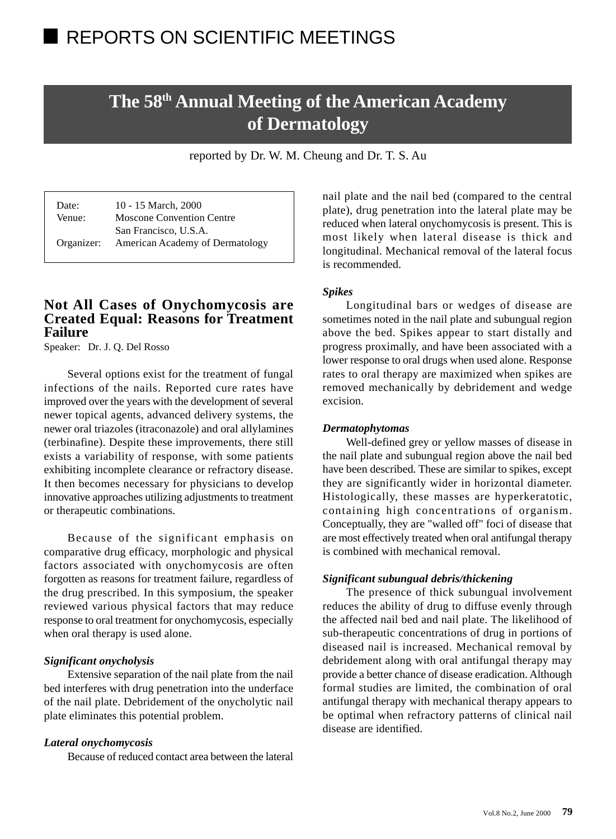# **The 58th Annual Meeting of the American Academy of Dermatology**

reported by Dr. W. M. Cheung and Dr. T. S. Au

Date: 10 - 15 March, 2000 Venue: Moscone Convention Centre San Francisco, U.S.A. Organizer: American Academy of Dermatology

## **Not All Cases of Onychomycosis are Created Equal: Reasons for Treatment Failure**

Speaker: Dr. J. Q. Del Rosso

Several options exist for the treatment of fungal infections of the nails. Reported cure rates have improved over the years with the development of several newer topical agents, advanced delivery systems, the newer oral triazoles (itraconazole) and oral allylamines (terbinafine). Despite these improvements, there still exists a variability of response, with some patients exhibiting incomplete clearance or refractory disease. It then becomes necessary for physicians to develop innovative approaches utilizing adjustments to treatment or therapeutic combinations.

Because of the significant emphasis on comparative drug efficacy, morphologic and physical factors associated with onychomycosis are often forgotten as reasons for treatment failure, regardless of the drug prescribed. In this symposium, the speaker reviewed various physical factors that may reduce response to oral treatment for onychomycosis, especially when oral therapy is used alone.

#### *Significant onycholysis*

Extensive separation of the nail plate from the nail bed interferes with drug penetration into the underface of the nail plate. Debridement of the onycholytic nail plate eliminates this potential problem.

## *Lateral onychomycosis*

Because of reduced contact area between the lateral

nail plate and the nail bed (compared to the central plate), drug penetration into the lateral plate may be reduced when lateral onychomycosis is present. This is most likely when lateral disease is thick and longitudinal. Mechanical removal of the lateral focus is recommended.

#### *Spikes*

Longitudinal bars or wedges of disease are sometimes noted in the nail plate and subungual region above the bed. Spikes appear to start distally and progress proximally, and have been associated with a lower response to oral drugs when used alone. Response rates to oral therapy are maximized when spikes are removed mechanically by debridement and wedge excision.

#### *Dermatophytomas*

Well-defined grey or yellow masses of disease in the nail plate and subungual region above the nail bed have been described. These are similar to spikes, except they are significantly wider in horizontal diameter. Histologically, these masses are hyperkeratotic, containing high concentrations of organism. Conceptually, they are "walled off" foci of disease that are most effectively treated when oral antifungal therapy is combined with mechanical removal.

#### *Significant subungual debris/thickening*

The presence of thick subungual involvement reduces the ability of drug to diffuse evenly through the affected nail bed and nail plate. The likelihood of sub-therapeutic concentrations of drug in portions of diseased nail is increased. Mechanical removal by debridement along with oral antifungal therapy may provide a better chance of disease eradication. Although formal studies are limited, the combination of oral antifungal therapy with mechanical therapy appears to be optimal when refractory patterns of clinical nail disease are identified.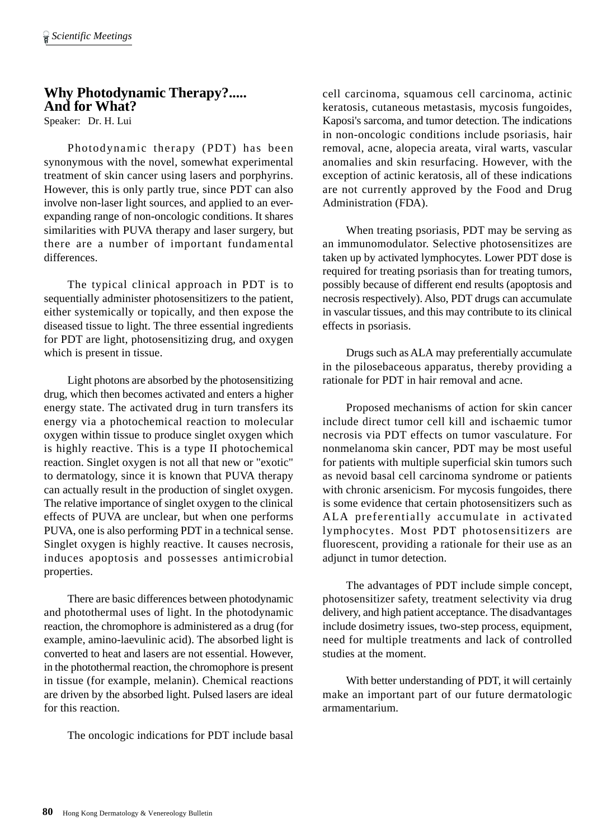## **Why Photodynamic Therapy?..... And for What?**

Speaker: Dr. H. Lui

Photodynamic therapy (PDT) has been synonymous with the novel, somewhat experimental treatment of skin cancer using lasers and porphyrins. However, this is only partly true, since PDT can also involve non-laser light sources, and applied to an everexpanding range of non-oncologic conditions. It shares similarities with PUVA therapy and laser surgery, but there are a number of important fundamental differences.

The typical clinical approach in PDT is to sequentially administer photosensitizers to the patient, either systemically or topically, and then expose the diseased tissue to light. The three essential ingredients for PDT are light, photosensitizing drug, and oxygen which is present in tissue.

Light photons are absorbed by the photosensitizing drug, which then becomes activated and enters a higher energy state. The activated drug in turn transfers its energy via a photochemical reaction to molecular oxygen within tissue to produce singlet oxygen which is highly reactive. This is a type II photochemical reaction. Singlet oxygen is not all that new or "exotic" to dermatology, since it is known that PUVA therapy can actually result in the production of singlet oxygen. The relative importance of singlet oxygen to the clinical effects of PUVA are unclear, but when one performs PUVA, one is also performing PDT in a technical sense. Singlet oxygen is highly reactive. It causes necrosis, induces apoptosis and possesses antimicrobial properties.

There are basic differences between photodynamic and photothermal uses of light. In the photodynamic reaction, the chromophore is administered as a drug (for example, amino-laevulinic acid). The absorbed light is converted to heat and lasers are not essential. However, in the photothermal reaction, the chromophore is present in tissue (for example, melanin). Chemical reactions are driven by the absorbed light. Pulsed lasers are ideal for this reaction.

The oncologic indications for PDT include basal

cell carcinoma, squamous cell carcinoma, actinic keratosis, cutaneous metastasis, mycosis fungoides, Kaposi's sarcoma, and tumor detection. The indications in non-oncologic conditions include psoriasis, hair removal, acne, alopecia areata, viral warts, vascular anomalies and skin resurfacing. However, with the exception of actinic keratosis, all of these indications are not currently approved by the Food and Drug Administration (FDA).

When treating psoriasis, PDT may be serving as an immunomodulator. Selective photosensitizes are taken up by activated lymphocytes. Lower PDT dose is required for treating psoriasis than for treating tumors, possibly because of different end results (apoptosis and necrosis respectively). Also, PDT drugs can accumulate in vascular tissues, and this may contribute to its clinical effects in psoriasis.

Drugs such as ALA may preferentially accumulate in the pilosebaceous apparatus, thereby providing a rationale for PDT in hair removal and acne.

Proposed mechanisms of action for skin cancer include direct tumor cell kill and ischaemic tumor necrosis via PDT effects on tumor vasculature. For nonmelanoma skin cancer, PDT may be most useful for patients with multiple superficial skin tumors such as nevoid basal cell carcinoma syndrome or patients with chronic arsenicism. For mycosis fungoides, there is some evidence that certain photosensitizers such as ALA preferentially accumulate in activated lymphocytes. Most PDT photosensitizers are fluorescent, providing a rationale for their use as an adjunct in tumor detection.

The advantages of PDT include simple concept, photosensitizer safety, treatment selectivity via drug delivery, and high patient acceptance. The disadvantages include dosimetry issues, two-step process, equipment, need for multiple treatments and lack of controlled studies at the moment.

With better understanding of PDT, it will certainly make an important part of our future dermatologic armamentarium.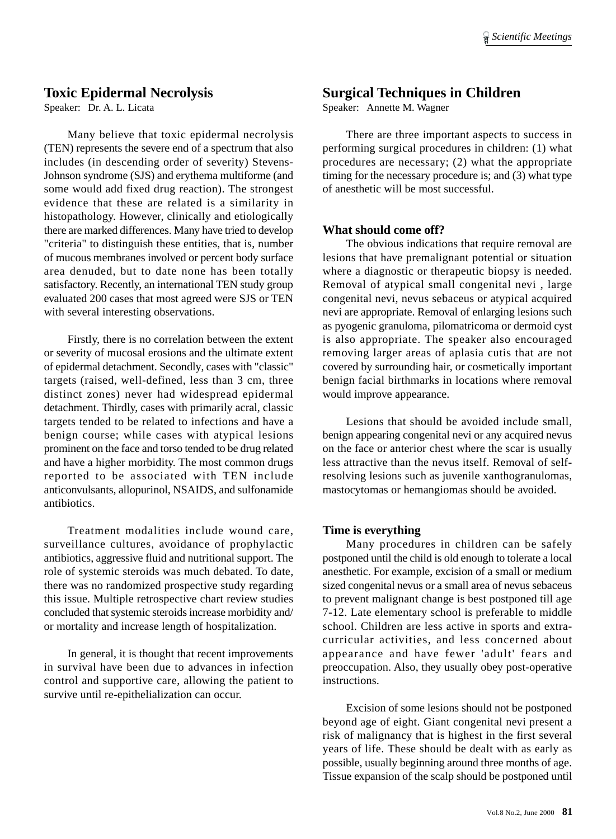## **Toxic Epidermal Necrolysis**

Speaker: Dr. A. L. Licata

Many believe that toxic epidermal necrolysis (TEN) represents the severe end of a spectrum that also includes (in descending order of severity) Stevens-Johnson syndrome (SJS) and erythema multiforme (and some would add fixed drug reaction). The strongest evidence that these are related is a similarity in histopathology. However, clinically and etiologically there are marked differences. Many have tried to develop "criteria" to distinguish these entities, that is, number of mucous membranes involved or percent body surface area denuded, but to date none has been totally satisfactory. Recently, an international TEN study group evaluated 200 cases that most agreed were SJS or TEN with several interesting observations.

Firstly, there is no correlation between the extent or severity of mucosal erosions and the ultimate extent of epidermal detachment. Secondly, cases with "classic" targets (raised, well-defined, less than 3 cm, three distinct zones) never had widespread epidermal detachment. Thirdly, cases with primarily acral, classic targets tended to be related to infections and have a benign course; while cases with atypical lesions prominent on the face and torso tended to be drug related and have a higher morbidity. The most common drugs reported to be associated with TEN include anticonvulsants, allopurinol, NSAIDS, and sulfonamide antibiotics.

Treatment modalities include wound care, surveillance cultures, avoidance of prophylactic antibiotics, aggressive fluid and nutritional support. The role of systemic steroids was much debated. To date, there was no randomized prospective study regarding this issue. Multiple retrospective chart review studies concluded that systemic steroids increase morbidity and/ or mortality and increase length of hospitalization.

In general, it is thought that recent improvements in survival have been due to advances in infection control and supportive care, allowing the patient to survive until re-epithelialization can occur.

## **Surgical Techniques in Children**

Speaker: Annette M. Wagner

There are three important aspects to success in performing surgical procedures in children: (1) what procedures are necessary; (2) what the appropriate timing for the necessary procedure is; and (3) what type of anesthetic will be most successful.

#### **What should come off?**

The obvious indications that require removal are lesions that have premalignant potential or situation where a diagnostic or therapeutic biopsy is needed. Removal of atypical small congenital nevi , large congenital nevi, nevus sebaceus or atypical acquired nevi are appropriate. Removal of enlarging lesions such as pyogenic granuloma, pilomatricoma or dermoid cyst is also appropriate. The speaker also encouraged removing larger areas of aplasia cutis that are not covered by surrounding hair, or cosmetically important benign facial birthmarks in locations where removal would improve appearance.

Lesions that should be avoided include small, benign appearing congenital nevi or any acquired nevus on the face or anterior chest where the scar is usually less attractive than the nevus itself. Removal of selfresolving lesions such as juvenile xanthogranulomas, mastocytomas or hemangiomas should be avoided.

## **Time is everything**

Many procedures in children can be safely postponed until the child is old enough to tolerate a local anesthetic. For example, excision of a small or medium sized congenital nevus or a small area of nevus sebaceus to prevent malignant change is best postponed till age 7-12. Late elementary school is preferable to middle school. Children are less active in sports and extracurricular activities, and less concerned about appearance and have fewer 'adult' fears and preoccupation. Also, they usually obey post-operative instructions.

Excision of some lesions should not be postponed beyond age of eight. Giant congenital nevi present a risk of malignancy that is highest in the first several years of life. These should be dealt with as early as possible, usually beginning around three months of age. Tissue expansion of the scalp should be postponed until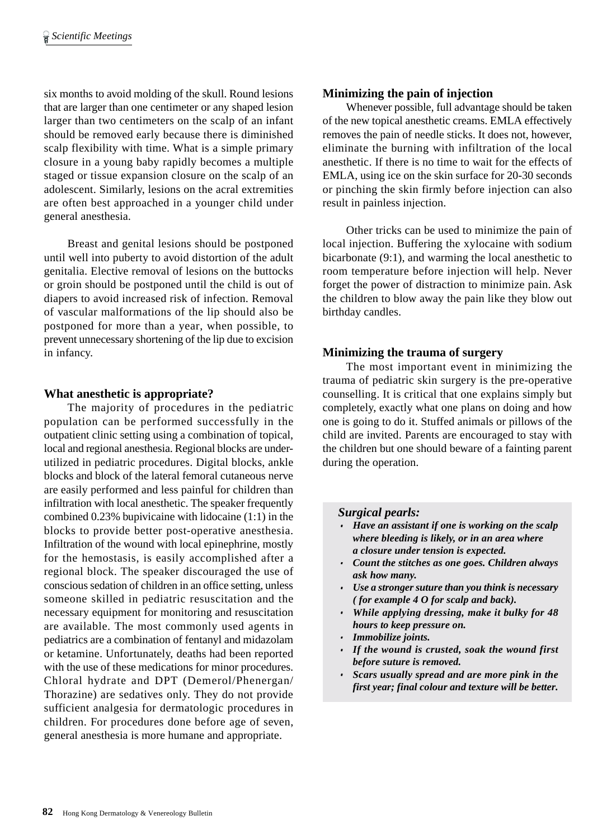six months to avoid molding of the skull. Round lesions that are larger than one centimeter or any shaped lesion larger than two centimeters on the scalp of an infant should be removed early because there is diminished scalp flexibility with time. What is a simple primary closure in a young baby rapidly becomes a multiple staged or tissue expansion closure on the scalp of an adolescent. Similarly, lesions on the acral extremities are often best approached in a younger child under general anesthesia.

Breast and genital lesions should be postponed until well into puberty to avoid distortion of the adult genitalia. Elective removal of lesions on the buttocks or groin should be postponed until the child is out of diapers to avoid increased risk of infection. Removal of vascular malformations of the lip should also be postponed for more than a year, when possible, to prevent unnecessary shortening of the lip due to excision in infancy.

## **What anesthetic is appropriate?**

The majority of procedures in the pediatric population can be performed successfully in the outpatient clinic setting using a combination of topical, local and regional anesthesia. Regional blocks are underutilized in pediatric procedures. Digital blocks, ankle blocks and block of the lateral femoral cutaneous nerve are easily performed and less painful for children than infiltration with local anesthetic. The speaker frequently combined 0.23% bupivicaine with lidocaine (1:1) in the blocks to provide better post-operative anesthesia. Infiltration of the wound with local epinephrine, mostly for the hemostasis, is easily accomplished after a regional block. The speaker discouraged the use of conscious sedation of children in an office setting, unless someone skilled in pediatric resuscitation and the necessary equipment for monitoring and resuscitation are available. The most commonly used agents in pediatrics are a combination of fentanyl and midazolam or ketamine. Unfortunately, deaths had been reported with the use of these medications for minor procedures. Chloral hydrate and DPT (Demerol/Phenergan/ Thorazine) are sedatives only. They do not provide sufficient analgesia for dermatologic procedures in children. For procedures done before age of seven, general anesthesia is more humane and appropriate.

## **Minimizing the pain of injection**

Whenever possible, full advantage should be taken of the new topical anesthetic creams. EMLA effectively removes the pain of needle sticks. It does not, however, eliminate the burning with infiltration of the local anesthetic. If there is no time to wait for the effects of EMLA, using ice on the skin surface for 20-30 seconds or pinching the skin firmly before injection can also result in painless injection.

Other tricks can be used to minimize the pain of local injection. Buffering the xylocaine with sodium bicarbonate (9:1), and warming the local anesthetic to room temperature before injection will help. Never forget the power of distraction to minimize pain. Ask the children to blow away the pain like they blow out birthday candles.

## **Minimizing the trauma of surgery**

The most important event in minimizing the trauma of pediatric skin surgery is the pre-operative counselling. It is critical that one explains simply but completely, exactly what one plans on doing and how one is going to do it. Stuffed animals or pillows of the child are invited. Parents are encouraged to stay with the children but one should beware of a fainting parent during the operation.

## *Surgical pearls:*

- · *Have an assistant if one is working on the scalp where bleeding is likely, or in an area where a closure under tension is expected.*
- · *Count the stitches as one goes. Children always ask how many.*
- · *Use a stronger suture than you think is necessary ( for example 4 O for scalp and back).*
- · *While applying dressing, make it bulky for 48 hours to keep pressure on.*
- · *Immobilize joints.*
- · *If the wound is crusted, soak the wound first before suture is removed.*
- · *Scars usually spread and are more pink in the first year; final colour and texture will be better.*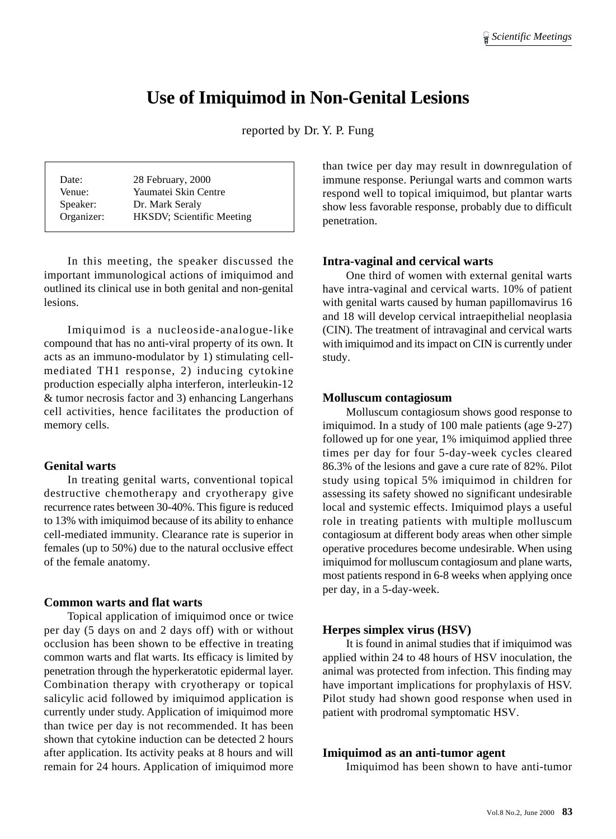## **Use of Imiquimod in Non-Genital Lesions**

reported by Dr. Y. P. Fung

| Date:      | 28 February, 2000         |
|------------|---------------------------|
| Venue:     | Yaumatei Skin Centre      |
| Speaker:   | Dr. Mark Seraly           |
| Organizer: | HKSDV; Scientific Meeting |

In this meeting, the speaker discussed the important immunological actions of imiquimod and outlined its clinical use in both genital and non-genital lesions.

Imiquimod is a nucleoside-analogue-like compound that has no anti-viral property of its own. It acts as an immuno-modulator by 1) stimulating cellmediated TH1 response, 2) inducing cytokine production especially alpha interferon, interleukin-12 & tumor necrosis factor and 3) enhancing Langerhans cell activities, hence facilitates the production of memory cells.

#### **Genital warts**

In treating genital warts, conventional topical destructive chemotherapy and cryotherapy give recurrence rates between 30-40%. This figure is reduced to 13% with imiquimod because of its ability to enhance cell-mediated immunity. Clearance rate is superior in females (up to 50%) due to the natural occlusive effect of the female anatomy.

#### **Common warts and flat warts**

Topical application of imiquimod once or twice per day (5 days on and 2 days off) with or without occlusion has been shown to be effective in treating common warts and flat warts. Its efficacy is limited by penetration through the hyperkeratotic epidermal layer. Combination therapy with cryotherapy or topical salicylic acid followed by imiquimod application is currently under study. Application of imiquimod more than twice per day is not recommended. It has been shown that cytokine induction can be detected 2 hours after application. Its activity peaks at 8 hours and will remain for 24 hours. Application of imiquimod more

than twice per day may result in downregulation of immune response. Periungal warts and common warts respond well to topical imiquimod, but plantar warts show less favorable response, probably due to difficult penetration.

#### **Intra-vaginal and cervical warts**

One third of women with external genital warts have intra-vaginal and cervical warts. 10% of patient with genital warts caused by human papillomavirus 16 and 18 will develop cervical intraepithelial neoplasia (CIN). The treatment of intravaginal and cervical warts with imiquimod and its impact on CIN is currently under study.

#### **Molluscum contagiosum**

Molluscum contagiosum shows good response to imiquimod. In a study of 100 male patients (age 9-27) followed up for one year, 1% imiquimod applied three times per day for four 5-day-week cycles cleared 86.3% of the lesions and gave a cure rate of 82%. Pilot study using topical 5% imiquimod in children for assessing its safety showed no significant undesirable local and systemic effects. Imiquimod plays a useful role in treating patients with multiple molluscum contagiosum at different body areas when other simple operative procedures become undesirable. When using imiquimod for molluscum contagiosum and plane warts, most patients respond in 6-8 weeks when applying once per day, in a 5-day-week.

#### **Herpes simplex virus (HSV)**

It is found in animal studies that if imiquimod was applied within 24 to 48 hours of HSV inoculation, the animal was protected from infection. This finding may have important implications for prophylaxis of HSV. Pilot study had shown good response when used in patient with prodromal symptomatic HSV.

#### **Imiquimod as an anti-tumor agent**

Imiquimod has been shown to have anti-tumor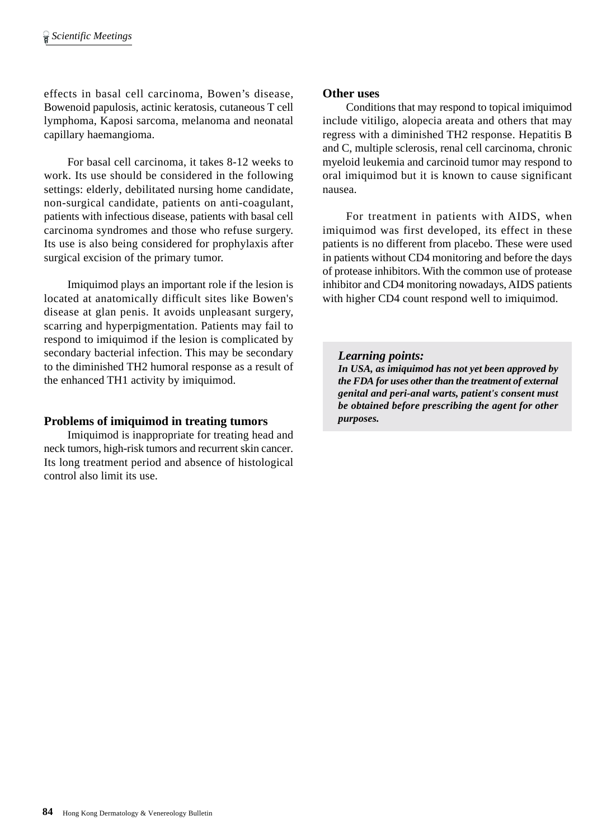effects in basal cell carcinoma, Bowen's disease, Bowenoid papulosis, actinic keratosis, cutaneous T cell lymphoma, Kaposi sarcoma, melanoma and neonatal capillary haemangioma.

For basal cell carcinoma, it takes 8-12 weeks to work. Its use should be considered in the following settings: elderly, debilitated nursing home candidate, non-surgical candidate, patients on anti-coagulant, patients with infectious disease, patients with basal cell carcinoma syndromes and those who refuse surgery. Its use is also being considered for prophylaxis after surgical excision of the primary tumor.

Imiquimod plays an important role if the lesion is located at anatomically difficult sites like Bowen's disease at glan penis. It avoids unpleasant surgery, scarring and hyperpigmentation. Patients may fail to respond to imiquimod if the lesion is complicated by secondary bacterial infection. This may be secondary to the diminished TH2 humoral response as a result of the enhanced TH1 activity by imiquimod.

## **Problems of imiquimod in treating tumors**

Imiquimod is inappropriate for treating head and neck tumors, high-risk tumors and recurrent skin cancer. Its long treatment period and absence of histological control also limit its use.

#### **Other uses**

Conditions that may respond to topical imiquimod include vitiligo, alopecia areata and others that may regress with a diminished TH2 response. Hepatitis B and C, multiple sclerosis, renal cell carcinoma, chronic myeloid leukemia and carcinoid tumor may respond to oral imiquimod but it is known to cause significant nausea.

For treatment in patients with AIDS, when imiquimod was first developed, its effect in these patients is no different from placebo. These were used in patients without CD4 monitoring and before the days of protease inhibitors. With the common use of protease inhibitor and CD4 monitoring nowadays, AIDS patients with higher CD4 count respond well to imiquimod.

*Learning points: In USA, as imiquimod has not yet been approved by*

*the FDA for uses other than the treatment of external genital and peri-anal warts, patient's consent must be obtained before prescribing the agent for other purposes.*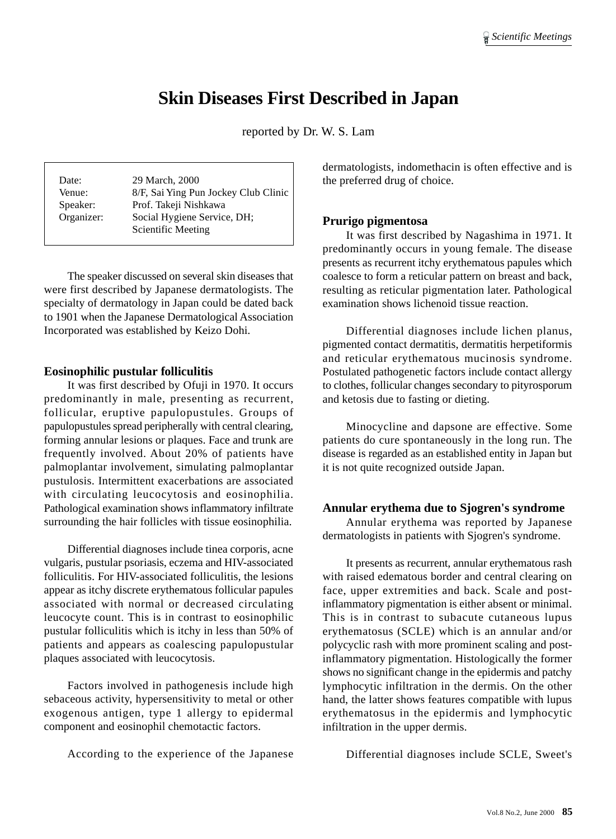## **Skin Diseases First Described in Japan**

reported by Dr. W. S. Lam

| Date:      | 29 March, 2000                       |
|------------|--------------------------------------|
| Venue:     | 8/F, Sai Ying Pun Jockey Club Clinic |
| Speaker:   | Prof. Takeji Nishkawa                |
| Organizer: | Social Hygiene Service, DH;          |
|            | Scientific Meeting                   |
|            |                                      |

The speaker discussed on several skin diseases that were first described by Japanese dermatologists. The specialty of dermatology in Japan could be dated back to 1901 when the Japanese Dermatological Association Incorporated was established by Keizo Dohi.

#### **Eosinophilic pustular folliculitis**

It was first described by Ofuji in 1970. It occurs predominantly in male, presenting as recurrent, follicular, eruptive papulopustules. Groups of papulopustules spread peripherally with central clearing, forming annular lesions or plaques. Face and trunk are frequently involved. About 20% of patients have palmoplantar involvement, simulating palmoplantar pustulosis. Intermittent exacerbations are associated with circulating leucocytosis and eosinophilia. Pathological examination shows inflammatory infiltrate surrounding the hair follicles with tissue eosinophilia.

Differential diagnoses include tinea corporis, acne vulgaris, pustular psoriasis, eczema and HIV-associated folliculitis. For HIV-associated folliculitis, the lesions appear as itchy discrete erythematous follicular papules associated with normal or decreased circulating leucocyte count. This is in contrast to eosinophilic pustular folliculitis which is itchy in less than 50% of patients and appears as coalescing papulopustular plaques associated with leucocytosis.

Factors involved in pathogenesis include high sebaceous activity, hypersensitivity to metal or other exogenous antigen, type 1 allergy to epidermal component and eosinophil chemotactic factors.

According to the experience of the Japanese

dermatologists, indomethacin is often effective and is the preferred drug of choice.

#### **Prurigo pigmentosa**

It was first described by Nagashima in 1971. It predominantly occurs in young female. The disease presents as recurrent itchy erythematous papules which coalesce to form a reticular pattern on breast and back, resulting as reticular pigmentation later. Pathological examination shows lichenoid tissue reaction.

Differential diagnoses include lichen planus, pigmented contact dermatitis, dermatitis herpetiformis and reticular erythematous mucinosis syndrome. Postulated pathogenetic factors include contact allergy to clothes, follicular changes secondary to pityrosporum and ketosis due to fasting or dieting.

Minocycline and dapsone are effective. Some patients do cure spontaneously in the long run. The disease is regarded as an established entity in Japan but it is not quite recognized outside Japan.

#### **Annular erythema due to Sjogren's syndrome**

Annular erythema was reported by Japanese dermatologists in patients with Sjogren's syndrome.

It presents as recurrent, annular erythematous rash with raised edematous border and central clearing on face, upper extremities and back. Scale and postinflammatory pigmentation is either absent or minimal. This is in contrast to subacute cutaneous lupus erythematosus (SCLE) which is an annular and/or polycyclic rash with more prominent scaling and postinflammatory pigmentation. Histologically the former shows no significant change in the epidermis and patchy lymphocytic infiltration in the dermis. On the other hand, the latter shows features compatible with lupus erythematosus in the epidermis and lymphocytic infiltration in the upper dermis.

Differential diagnoses include SCLE, Sweet's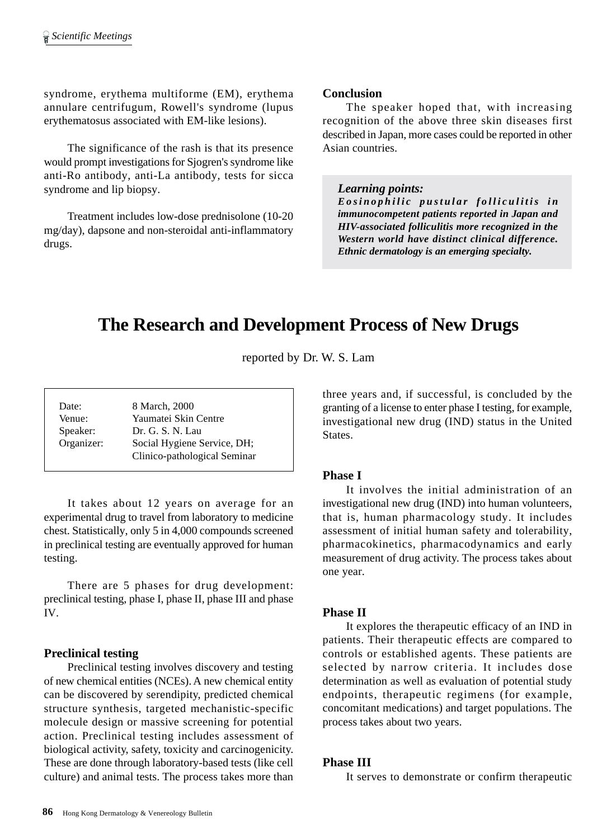syndrome, erythema multiforme (EM), erythema annulare centrifugum, Rowell's syndrome (lupus erythematosus associated with EM-like lesions).

The significance of the rash is that its presence would prompt investigations for Sjogren's syndrome like anti-Ro antibody, anti-La antibody, tests for sicca syndrome and lip biopsy.

Treatment includes low-dose prednisolone (10-20 mg/day), dapsone and non-steroidal anti-inflammatory drugs.

#### **Conclusion**

The speaker hoped that, with increasing recognition of the above three skin diseases first described in Japan, more cases could be reported in other Asian countries.

#### *Learning points:*

*Eosinophilic pustular folliculitis in immunocompetent patients reported in Japan and HIV-associated folliculitis more recognized in the Western world have distinct clinical difference. Ethnic dermatology is an emerging specialty.*

# **The Research and Development Process of New Drugs**

reported by Dr. W. S. Lam

| Date:      | 8 March, 2000                |
|------------|------------------------------|
| Venue:     | Yaumatei Skin Centre         |
| Speaker:   | Dr. G. S. N. Lau             |
| Organizer: | Social Hygiene Service, DH;  |
|            | Clinico-pathological Seminar |

It takes about 12 years on average for an experimental drug to travel from laboratory to medicine chest. Statistically, only 5 in 4,000 compounds screened in preclinical testing are eventually approved for human testing.

There are 5 phases for drug development: preclinical testing, phase I, phase II, phase III and phase IV.

## **Preclinical testing**

Preclinical testing involves discovery and testing of new chemical entities (NCEs). A new chemical entity can be discovered by serendipity, predicted chemical structure synthesis, targeted mechanistic-specific molecule design or massive screening for potential action. Preclinical testing includes assessment of biological activity, safety, toxicity and carcinogenicity. These are done through laboratory-based tests (like cell culture) and animal tests. The process takes more than three years and, if successful, is concluded by the granting of a license to enter phase I testing, for example, investigational new drug (IND) status in the United States.

## **Phase I**

It involves the initial administration of an investigational new drug (IND) into human volunteers, that is, human pharmacology study. It includes assessment of initial human safety and tolerability, pharmacokinetics, pharmacodynamics and early measurement of drug activity. The process takes about one year.

## **Phase II**

It explores the therapeutic efficacy of an IND in patients. Their therapeutic effects are compared to controls or established agents. These patients are selected by narrow criteria. It includes dose determination as well as evaluation of potential study endpoints, therapeutic regimens (for example, concomitant medications) and target populations. The process takes about two years.

#### **Phase III**

It serves to demonstrate or confirm therapeutic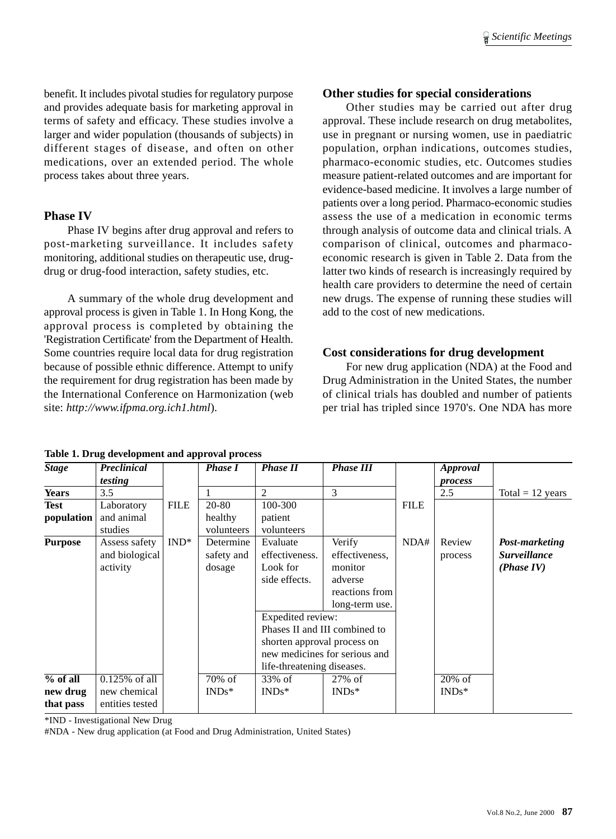benefit. It includes pivotal studies for regulatory purpose and provides adequate basis for marketing approval in terms of safety and efficacy. These studies involve a larger and wider population (thousands of subjects) in different stages of disease, and often on other medications, over an extended period. The whole process takes about three years.

#### **Phase IV**

Phase IV begins after drug approval and refers to post-marketing surveillance. It includes safety monitoring, additional studies on therapeutic use, drugdrug or drug-food interaction, safety studies, etc.

A summary of the whole drug development and approval process is given in Table 1. In Hong Kong, the approval process is completed by obtaining the 'Registration Certificate' from the Department of Health. Some countries require local data for drug registration because of possible ethnic difference. Attempt to unify the requirement for drug registration has been made by the International Conference on Harmonization (web site: *http://www.ifpma.org.ich1.html*).

## **Other studies for special considerations**

Other studies may be carried out after drug approval. These include research on drug metabolites, use in pregnant or nursing women, use in paediatric population, orphan indications, outcomes studies, pharmaco-economic studies, etc. Outcomes studies measure patient-related outcomes and are important for evidence-based medicine. It involves a large number of patients over a long period. Pharmaco-economic studies assess the use of a medication in economic terms through analysis of outcome data and clinical trials. A comparison of clinical, outcomes and pharmacoeconomic research is given in Table 2. Data from the latter two kinds of research is increasingly required by health care providers to determine the need of certain new drugs. The expense of running these studies will add to the cost of new medications.

## **Cost considerations for drug development**

For new drug application (NDA) at the Food and Drug Administration in the United States, the number of clinical trials has doubled and number of patients per trial has tripled since 1970's. One NDA has more

| <b>Stage</b>   | Preclinical      |             | <b>Phase I</b> | <b>Phase II</b>             | <b>Phase III</b>              |             | <b>Approval</b> |                     |
|----------------|------------------|-------------|----------------|-----------------------------|-------------------------------|-------------|-----------------|---------------------|
|                | testing          |             |                |                             |                               |             | process         |                     |
| <b>Years</b>   | 3.5              |             |                | 2                           | 3                             |             | 2.5             | Total = $12$ years  |
| Test           | Laboratory       | <b>FILE</b> | 20-80          | 100-300                     |                               | <b>FILE</b> |                 |                     |
| population     | and animal       |             | healthy        | patient                     |                               |             |                 |                     |
|                | studies          |             | volunteers     | volunteers                  |                               |             |                 |                     |
| <b>Purpose</b> | Assess safety    | $IND^*$     | Determine      | Evaluate                    | Verify                        | NDA#        | Review          | Post-marketing      |
|                | and biological   |             | safety and     | effectiveness.              | effectiveness.                |             | process         | <b>Surveillance</b> |
|                | activity         |             | dosage         | Look for                    | monitor                       |             |                 | (Phase IV)          |
|                |                  |             |                | side effects.               | adverse                       |             |                 |                     |
|                |                  |             |                |                             | reactions from                |             |                 |                     |
|                |                  |             |                |                             | long-term use.                |             |                 |                     |
|                |                  |             |                | Expedited review:           |                               |             |                 |                     |
|                |                  |             |                |                             | Phases II and III combined to |             |                 |                     |
|                |                  |             |                | shorten approval process on |                               |             |                 |                     |
|                |                  |             |                |                             | new medicines for serious and |             |                 |                     |
|                |                  |             |                | life-threatening diseases.  |                               |             |                 |                     |
| $%$ of all     | $0.125\%$ of all |             | 70% of         | 33% of                      | $27\%$ of                     |             | $20\%$ of       |                     |
| new drug       | new chemical     |             | $INDs^*$       | $INDs*$                     | $INDs*$                       |             | $INDs*$         |                     |
| that pass      | entities tested  |             |                |                             |                               |             |                 |                     |

**Table 1. Drug development and approval process**

\*IND - Investigational New Drug

#NDA - New drug application (at Food and Drug Administration, United States)